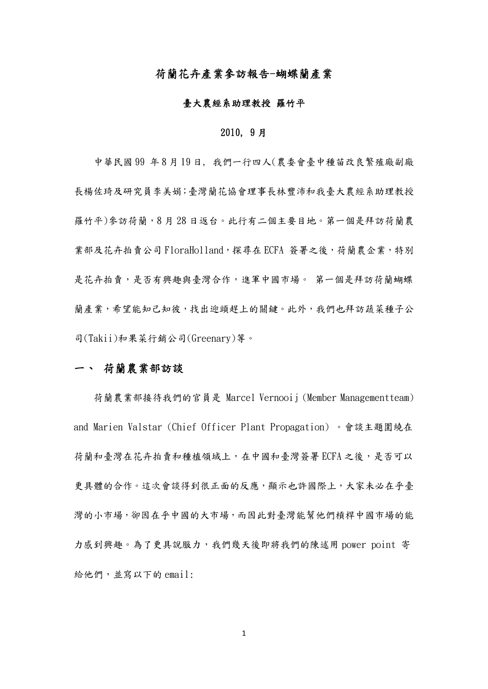## 荷蘭花卉產業參訪報告-蝴蝶蘭產業

#### 臺大農經系助理教授 羅竹平

### 2010, 9 月

 中華民國 99 年 8 月 19 日, 我們一行四人(農委會臺中種苗改良繁殖廠副廠 長楊佐琦及研究員李美娟;臺灣蘭花協會理事長林豐沛和我臺大農經系助理教授 羅竹平)參訪荷蘭,8 月 28 日返台。此行有二個主要目地。第一個是拜訪荷蘭農 業部及花卉拍賣公司 FloraHolland,探尋在 ECFA 簽署之後,荷蘭農企業,特別 是花卉拍賣,是否有興趣與臺灣合作,進軍中國市場。 第一個是拜訪荷蘭蝴蝶 蘭產業,希望能知己知彼,找出迎頭趕上的關鍵。此外,我們也拜訪蔬菜種子公 司(Takii)和果菜行銷公司(Greenary)等。

## 一、 荷蘭農業部訪談

荷蘭農業部接待我們的官員是 Marcel Vernooij (Member Managementteam) and Marien Valstar (Chief Officer Plant Propagation) 。會談主題圍繞在 荷蘭和臺灣在花卉拍賣和種植領域上,在中國和臺灣簽署 ECFA 之後,是否可以 更具體的合作。這次會談得到很正面的反應,顯示也許國際上,大家未必在乎臺 灣的小市場,卻因在乎中國的大市場,而因此對臺灣能幫他們槓桿中國市場的能 力感到興趣。為了更具說服力,我們幾天後即將我們的陳述用 power point 寄 給他們,並寫以下的 email: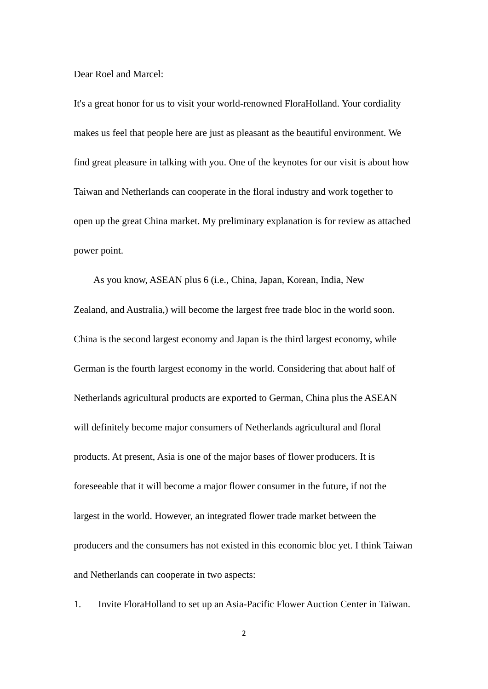Dear Roel and Marcel:

It's a great honor for us to visit your world-renowned FloraHolland. Your cordiality makes us feel that people here are just as pleasant as the beautiful environment. We find great pleasure in talking with you. One of the keynotes for our visit is about how Taiwan and Netherlands can cooperate in the floral industry and work together to open up the great China market. My preliminary explanation is for review as attached power point.

 As you know, ASEAN plus 6 (i.e., China, Japan, Korean, India, New Zealand, and Australia,) will become the largest free trade bloc in the world soon. China is the second largest economy and Japan is the third largest economy, while German is the fourth largest economy in the world. Considering that about half of Netherlands agricultural products are exported to German, China plus the ASEAN will definitely become major consumers of Netherlands agricultural and floral products. At present, Asia is one of the major bases of flower producers. It is foreseeable that it will become a major flower consumer in the future, if not the largest in the world. However, an integrated flower trade market between the producers and the consumers has not existed in this economic bloc yet. I think Taiwan and Netherlands can cooperate in two aspects:

1. Invite FloraHolland to set up an Asia-Pacific Flower Auction Center in Taiwan.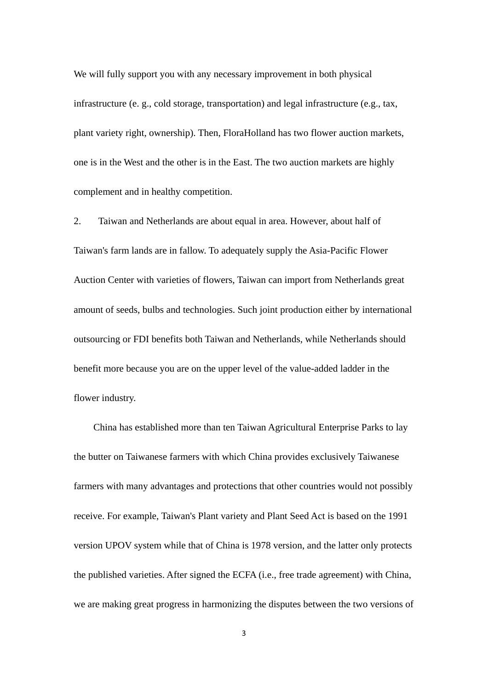We will fully support you with any necessary improvement in both physical infrastructure (e. g., cold storage, transportation) and legal infrastructure (e.g., tax, plant variety right, ownership). Then, FloraHolland has two flower auction markets, one is in the West and the other is in the East. The two auction markets are highly complement and in healthy competition.

2. Taiwan and Netherlands are about equal in area. However, about half of Taiwan's farm lands are in fallow. To adequately supply the Asia-Pacific Flower Auction Center with varieties of flowers, Taiwan can import from Netherlands great amount of seeds, bulbs and technologies. Such joint production either by international outsourcing or FDI benefits both Taiwan and Netherlands, while Netherlands should benefit more because you are on the upper level of the value-added ladder in the flower industry.

 China has established more than ten Taiwan Agricultural Enterprise Parks to lay the butter on Taiwanese farmers with which China provides exclusively Taiwanese farmers with many advantages and protections that other countries would not possibly receive. For example, Taiwan's Plant variety and Plant Seed Act is based on the 1991 version UPOV system while that of China is 1978 version, and the latter only protects the published varieties. After signed the ECFA (i.e., free trade agreement) with China, we are making great progress in harmonizing the disputes between the two versions of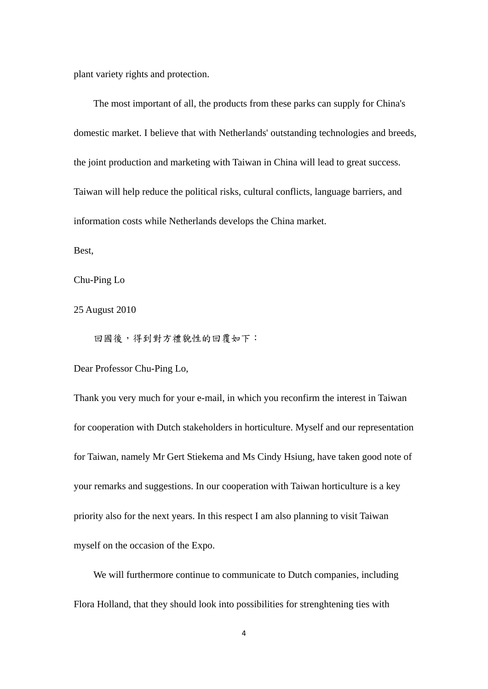plant variety rights and protection.

 The most important of all, the products from these parks can supply for China's domestic market. I believe that with Netherlands' outstanding technologies and breeds, the joint production and marketing with Taiwan in China will lead to great success. Taiwan will help reduce the political risks, cultural conflicts, language barriers, and information costs while Netherlands develops the China market.

Best,

Chu-Ping Lo

25 August 2010

回國後,得到對方禮貌性的回覆如下:

Dear Professor Chu-Ping Lo,

Thank you very much for your e-mail, in which you reconfirm the interest in Taiwan for cooperation with Dutch stakeholders in horticulture. Myself and our representation for Taiwan, namely Mr Gert Stiekema and Ms Cindy Hsiung, have taken good note of your remarks and suggestions. In our cooperation with Taiwan horticulture is a key priority also for the next years. In this respect I am also planning to visit Taiwan myself on the occasion of the Expo.

 We will furthermore continue to communicate to Dutch companies, including Flora Holland, that they should look into possibilities for strenghtening ties with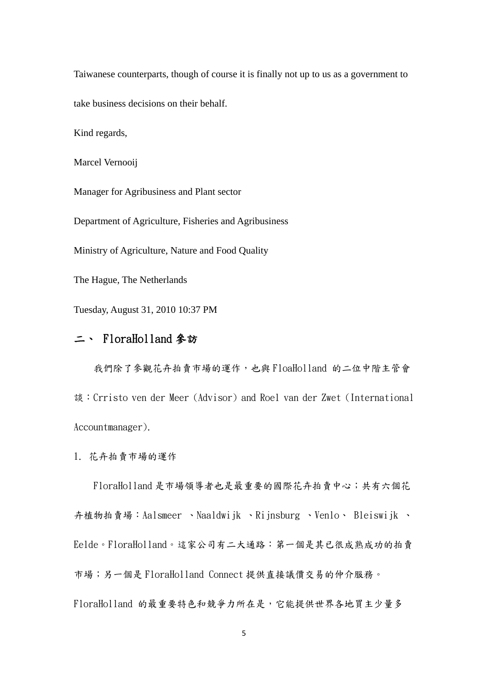Taiwanese counterparts, though of course it is finally not up to us as a government to take business decisions on their behalf.

Kind regards,

Marcel Vernooij

Manager for Agribusiness and Plant sector

Department of Agriculture, Fisheries and Agribusiness

Ministry of Agriculture, Nature and Food Quality

The Hague, The Netherlands

Tuesday, August 31, 2010 10:37 PM

# 二、 FloraHolland 參訪

我們除了參觀花卉拍賣市場的運作,也與 FloaHolland 的二位中階主管會 談:Crristo ven der Meer (Advisor) and Roel van der Zwet (International Accountmanager).

1. 花卉拍賣市場的運作

FloraHolland 是市場領導者也是最重要的國際花卉拍賣中心;共有六個花 卉植物拍賣場:Aalsmeer 、Naaldwijk 、Rijnsburg 、Venlo、 Bleiswijk 、 Eelde。FloraHolland。這家公司有二大通路:第一個是其已很成熟成功的拍賣 市場;另一個是 FloraHolland Connect 提供直接議價交易的仲介服務。 FloraHolland 的最重要特色和競爭力所在是,它能提供世界各地買主少量多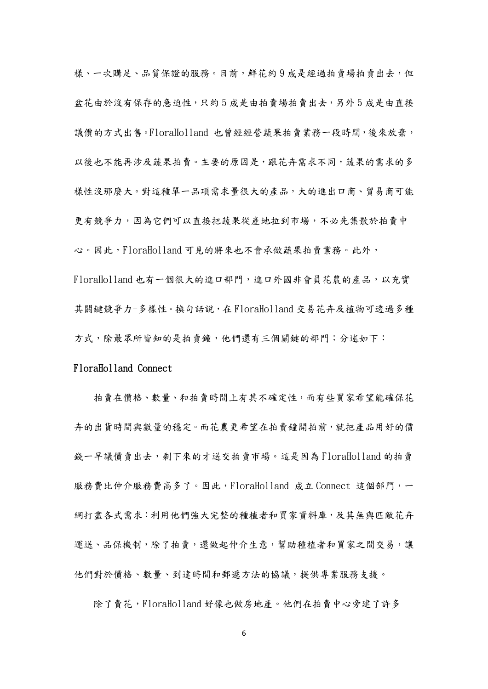樣、一次購足、品質保證的服務。目前,鮮花約9成是經過拍賣場拍賣出去,但 盆花由於沒有保存的急迫性,只約5成是由拍賣場拍賣出去,另外5成是由直接 議價的方式出售。FloraHolland 也曾經經營蔬果拍賣業務一段時間,後來放棄, 以後也不能再涉及蔬果拍賣。主要的原因是,跟花卉需求不同,蔬果的需求的多 樣性沒那麼大。對這種單一品項需求量很大的產品,大的進出口商、貿易商可能 更有競爭力,因為它們可以直接把蔬果從產地拉到市場,不必先集散於拍賣中 心。因此,FloraHolland 可見的將來也不會承做蔬果拍賣業務。此外, FloraHolland 也有一個很大的進口部門,進口外國非會員花農的產品,以充實 其關鍵競爭力-多樣性。換句話說,在 FloraHolland 交易花卉及植物可透過多種 方式,除最眾所皆知的是拍賣鐘,他們還有三個關鍵的部門;分述如下:

#### FloraHolland Connect

拍賣在價格、數量、和拍賣時間上有其不確定性,而有些買家希望能確保花 卉的出貨時間與數量的穩定。而花農更希望在拍賣鐘開拍前,就把產品用好的價 錢一早議價賣出去,剩下來的才送交拍賣市場。這是因為 FloraHolland 的拍賣 服務費比仲介服務費高多了。因此,FloraHolland 成立 Connect 這個部門,一 網打盡各式需求:利用他們強大完整的種植者和買家資料庫,及其無與匹敵花卉 運送、品保機制,除了拍賣,還做起仲介生意,幫助種植者和買家之間交易,讓 他們對於價格、數量、到達時間和郵遞方法的協議,提供專業服務支援。

除了賣花,FloraHolland 好像也做房地產。他們在拍賣中心旁建了許多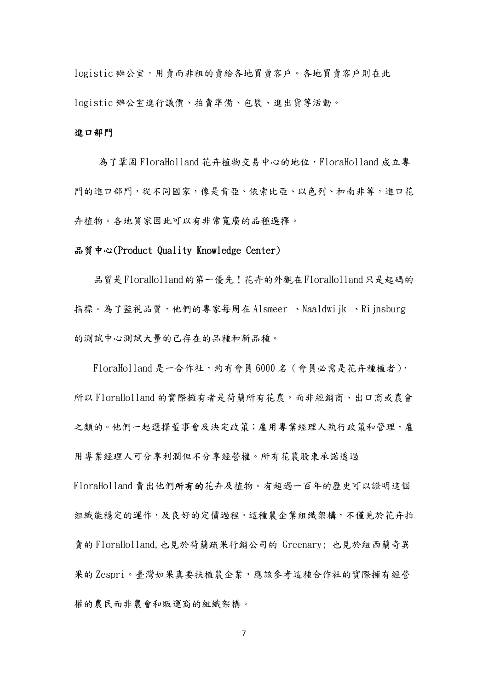logistic 辦公室,用賣而非租的賣給各地買賣客戶。各地買賣客戶則在此 logistic 辦公室進行議價、拍賣準備、包裝、進出貨等活動。

#### 進口部門

為了鞏固 FloraHolland 花卉植物交易中心的地位,FloraHolland 成立專 門的進口部門,從不同國家,像是肯亞、依索比亞、以色列、和南非等,進口花 卉植物。各地買家因此可以有非常寬廣的品種選擇。

### 品質中心(Product Quality Knowledge Center)

品質是 FloraHolland 的第一優先! 花卉的外觀在 FloraHolland 只是起碼的 指標。為了監視品質,他們的專家每周在 Alsmeer 、Naaldwijk 、Rijnsburg 的測試中心測試大量的已存在的品種和新品種。

FloraHolland 是一合作社,約有會員 6000名 (會員必需是花卉種植者), 所以 FloraHolland 的實際擁有者是荷蘭所有花農,而非經銷商、出口商或農會 之類的。他們一起選擇董事會及決定政策;雇用專業經理人執行政策和管理,雇 用專業經理人可分享利潤但不分享經營權。所有花農股東承諾透過

FloraHolland 賣出他們所有的花卉及植物。有超過一百年的歷史可以證明這個 組織能穩定的運作,及良好的定價過程。這種農企業組織架構,不僅見於花卉拍 賣的 FloraHolland,也見於荷蘭疏果行銷公司的 Greenary; 也見於紐西蘭奇異 果的 Zespri。臺灣如果真要扶植農企業,應該參考這種合作社的實際擁有經營 權的農民而非農會和販運商的組織架構。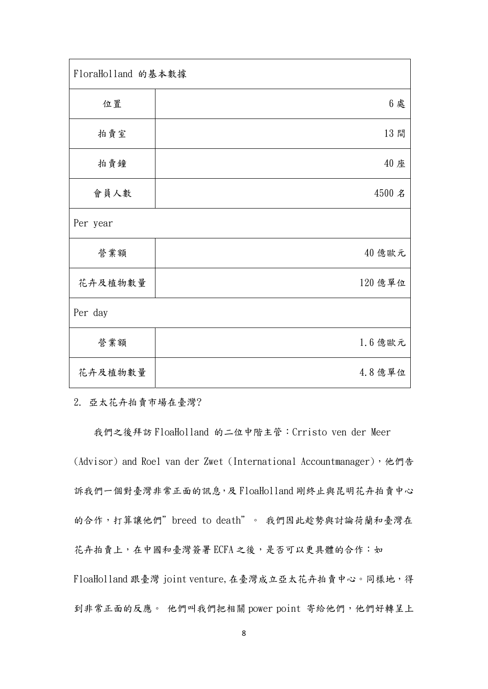| FloraHolland 的基本數據 |         |
|--------------------|---------|
| 位置                 | 6 處     |
| 拍賣室                | 13間     |
| 拍賣鐘                | 40 座    |
| 會員人數               | 4500 名  |
| Per year           |         |
| 營業額                | 40 億歐元  |
| 花卉及植物數量            | 120 億單位 |
| Per day            |         |
| 營業額                | 1.6億歐元  |
| 花卉及植物數量            | 4.8億單位  |

2. 亞太花卉拍賣市場在臺灣?

我們之後拜訪 FloaHolland 的二位中階主管:Crristo ven der Meer (Advisor) and Roel van der Zwet (International Accountmanager), 他們告 訴我們一個對臺灣非常正面的訊息,及 FloaHolland 剛終止與昆明花卉拍賣中心 的合作,打算讓他們"breed to death"。我們因此趁勢與討論荷蘭和臺灣在 花卉拍賣上,在中國和臺灣簽署 ECFA 之後,是否可以更具體的合作:如 FloaHolland 跟臺灣 joint venture,在臺灣成立亞太花卉拍賣中心。同樣地,得 到非常正面的反應。 他們叫我們把相關 power point 寄給他們,他們好轉呈上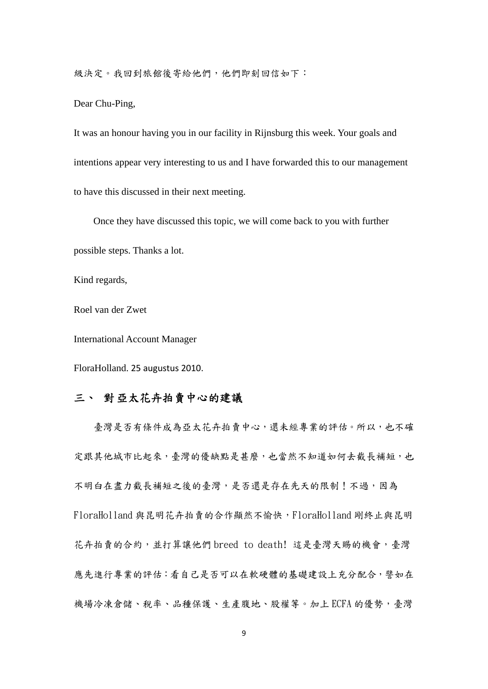級決定。我回到旅館後寄給他們,他們即刻回信如下:

Dear Chu-Ping,

It was an honour having you in our facility in Rijnsburg this week. Your goals and intentions appear very interesting to us and I have forwarded this to our management to have this discussed in their next meeting.

Once they have discussed this topic, we will come back to you with further

possible steps. Thanks a lot.

Kind regards,

Roel van der Zwet

International Account Manager

FloraHolland. 25 augustus 2010.

## 三、 對亞太花卉拍賣中心的建議

 臺灣是否有條件成為亞太花卉拍賣中心,還未經專業的評估。所以,也不確 定跟其他城市比起來,臺灣的優缺點是甚麼,也當然不知道如何去截長補短,也 不明白在盡力截長補短之後的臺灣,是否還是存在先天的限制!不過,因為 FloraHolland 與昆明花卉拍賣的合作顯然不愉快,FloraHolland 剛終止與昆明 花卉拍賣的合約,並打算讓他們 breed to death! 這是臺灣天賜的機會,臺灣 應先進行專業的評估:看自己是否可以在軟硬體的基礎建設上充分配合,譬如在 機場冷凍倉儲、稅率、品種保護、生產腹地、股權等。加上 ECFA 的優勢,臺灣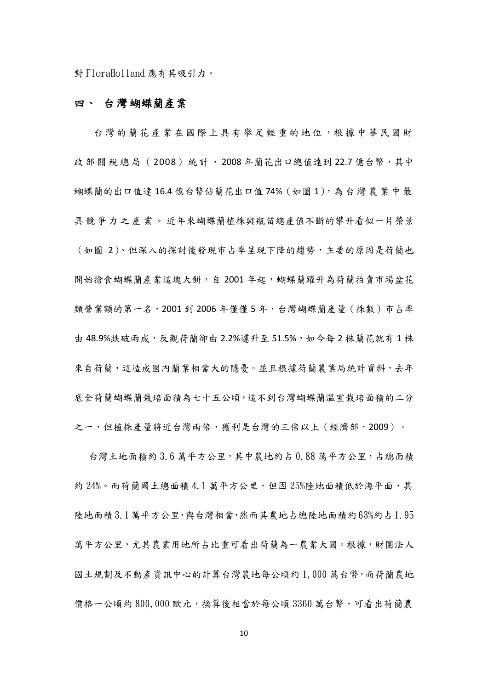對 FloraHolland 應有其吸引力。

## 四、 台灣蝴蝶蘭產業

台灣的蘭花產業在國際上具有舉足 輕重的地位,根據中華民國財 政部關稅總局(2008)統計,2008年蘭花出口總值達到22.7億台幣,其中 蝴蝶蘭的出口值達 16.4 億台幣佔蘭花出口值 74% (如圖 1),為台灣農業中最 具競爭力之產業。 近年來蝴蝶蘭植株與瓶苗總產值不斷的攀升看似一片榮景 (如圖 2)、但深入的探討後發現市占率呈現下降的趨勢,主要的原因是荷蘭也 開始搶食蝴蝶蘭產業這塊大餅,自 2001 年起,蝴蝶蘭躍升為荷蘭拍賣市場盆花 類營業額的第一名,2001 到 2006 年僅僅 5 年,台灣蝴蝶蘭產量(株數)市占率 由 48.9%跌破兩成,反觀荷蘭卻由 2.2%遽升至 51.5%,如今每 2 株蘭花就有 1 株 來自荷蘭,這造成國內蘭業相當大的隱憂。並且根據荷蘭農業局統計資料,去年 底全荷蘭蝴蝶蘭栽培面積為七十五公頃,這不到台灣蝴蝶蘭溫室栽培面積的二分 之一,但植株產量將近台灣兩倍,獲利是台灣的三倍以上(經濟部,2009)。

台灣土地面積約 3.6 萬平方公里,其中農地約占 0.88 萬平方公里,占總面積 約 24%。而荷蘭國土總面積 4.1 萬平方公里,但因 25%陸地面積低於海平面,其 陸地面積 3.1萬平方公里,與台灣相當,然而其農地占總陸地面積約 63%約占 1.95 萬平方公里,尤其農業用地所占比重可看出荷蘭為一農業大國。根據,財團法人 國土規劃及不動產資訊中心的計算台灣農地每公頃約 1,000 萬台幣,而荷蘭農地 價格一公頃約 800,000 歐元,換算後相當於每公頃 3360 萬台幣,可看出荷蘭農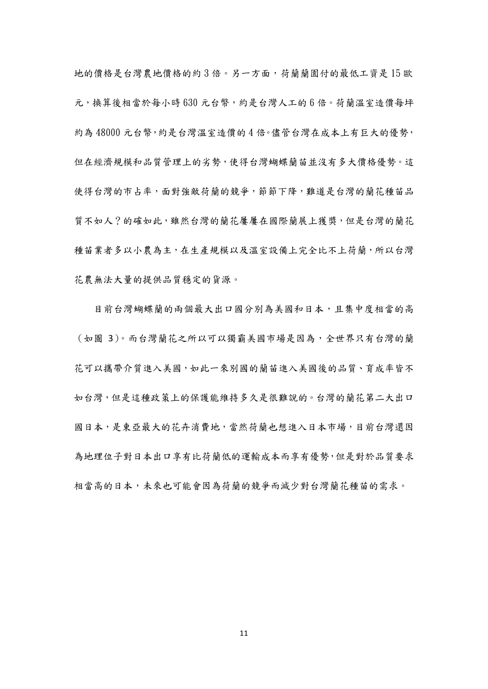地的價格是台灣農地價格的約 3 倍。另一方面,荷蘭蘭園付的最低工資是 15 歐 元,換算後相當於每小時 630 元台幣,約是台灣人工的 6 倍。荷蘭溫室造價每坪 約為 48000 元台幣,約是台灣溫室造價的 4 倍。儘管台灣在成本上有巨大的優勢, 但在經濟規模和品質管理上的劣勢,使得台灣蝴蝶蘭苗並沒有多大價格優勢。這 使得台灣的市占率,面對強敵荷蘭的競爭,節節下降,難道是台灣的蘭花種苗品 質不如人?的確如此,雖然台灣的蘭花屢屢在國際蘭展上獲獎,但是台灣的蘭花 種苗業者多以小農為主,在生產規模以及溫室設備上完全比不上荷蘭,所以台灣 花農無法大量的提供品質穩定的貨源。

目前台灣蝴蝶蘭的兩個最大出口國分別為美國和日本,且集中度相當的高 (如圖 3)。而台灣蘭花之所以可以獨霸美國市場是因為,全世界只有台灣的蘭 花可以攜帶介質進入美國,如此一來別國的蘭苗進入美國後的品質、育成率皆不 如台灣,但是這種政策上的保護能維持多久是很難說的。台灣的蘭花第二大出口 國日本,是東亞最大的花卉消費地,當然荷蘭也想進入日本市場,目前台灣還因 為地理位子對日本出口享有比荷蘭低的運輸成本而享有優勢,但是對於品質要求 相當高的日本,未來也可能會因為荷蘭的競爭而減少對台灣蘭花種苗的需求。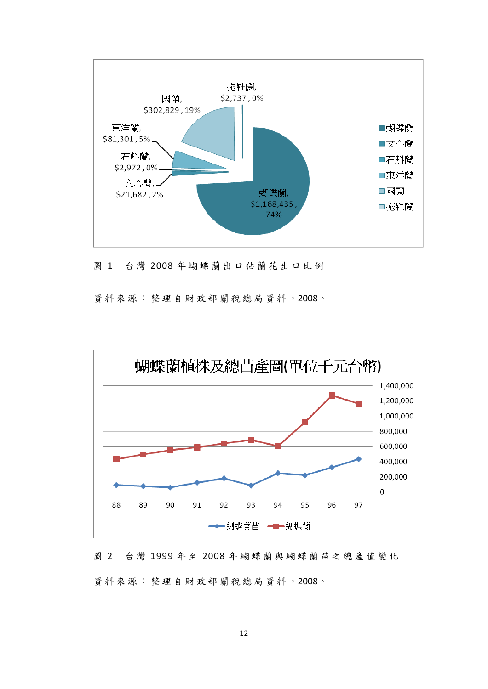

圖 1 台灣 2008 年蝴蝶蘭出口佔蘭花出口比例

資料來源:整理自財政部關稅總局資料,2008。



圖 2 台灣 1999 年 至 2008 年蝴蝶蘭與蝴蝶蘭苗之總產值變化 資料來源:整理自財政部關稅總局資料,2008。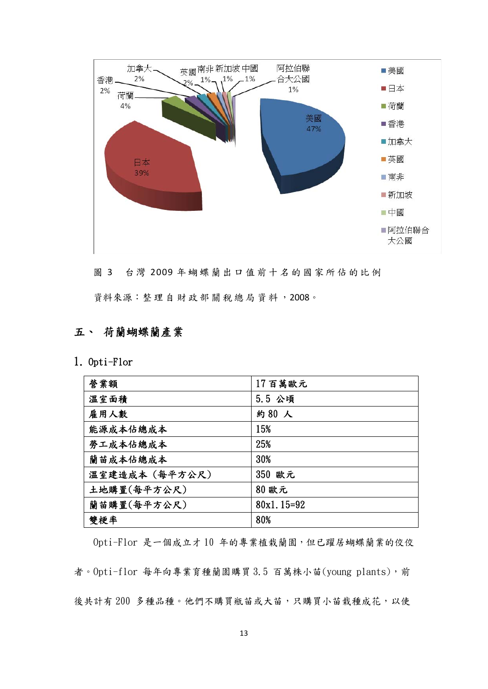

圖 3 台灣 2009 年蝴蝶蘭出口值前十名的國家所佔的比例

資料來源:整 理自財政部關稅總局資料,2008。

# 五、 荷蘭蝴蝶蘭產業

1. Opti-Flor

| 營業額            | 17百萬歐元       |
|----------------|--------------|
| 溫室面積           | 5.5 公頃       |
| 雇用人數           | 約80人         |
| 能源成本佔總成本       | 15%          |
| 勞工成本佔總成本       | 25%          |
| 蘭苗成本佔總成本       | 30%          |
| 溫室建造成本 (每平方公尺) | 350 歐元       |
| 土地購置(每平方公尺)    | 80 歐元        |
| 蘭苗購置(每平方公尺)    | $80x1.15=92$ |
| 雙梗率            | 80%          |

Opti-Flor 是一個成立才 10 年的專業植栽蘭園,但已躍居蝴蝶蘭業的佼佼 者。Opti-flor 每年向專業育種蘭園購買 3.5 百萬株小苗(young plants),前 後共計有 200 多種品種。他們不購買瓶苗或大苗,只購買小苗栽種成花,以使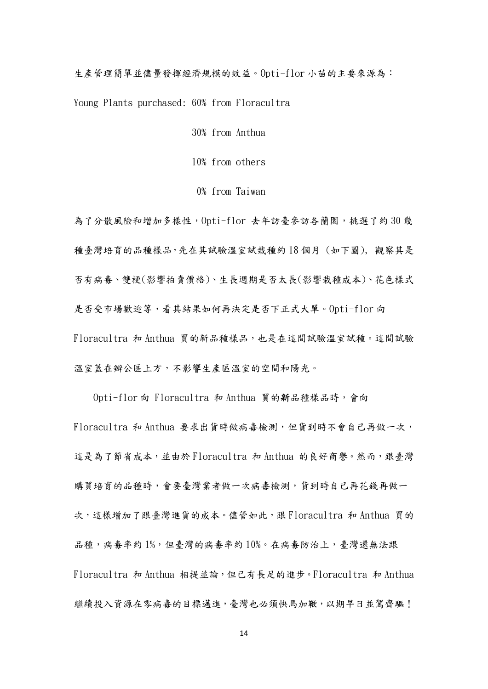生產管理簡單並儘量發揮經濟規模的效益。Opti-flor 小苗的主要來源為:

Young Plants purchased: 60% from Floracultra

30% from Anthua

10% from others

0% from Taiwan

為了分散風險和增加多樣性,Opti-flor 去年訪臺參訪各蘭園,挑選了約 30 幾 種臺灣培育的品種樣品,先在其試驗溫室試栽種約 18 個月 (如下圖), 觀察其是 否有病毒、雙梗(影響拍賣價格)、生長週期是否太長(影響栽種成本)、花色樣式 是否受市場歡迎等,看其結果如何再決定是否下正式大單。Opti-flor 向 Floracultra 和 Anthua 買的新品種樣品,也是在這間試驗溫室試種。這間試驗 溫室蓋在辦公區上方,不影響生產區溫室的空間和陽光。

Opti-flor 向 Floracultra 和 Anthua 買的新品種樣品時,會向 Floracultra 和 Anthua 要求出貨時做病毒檢測,但貨到時不會自己再做一次, 這是為了節省成本,並由於 Floracultra 和 Anthua 的良好商譽。然而,跟臺灣 購買培育的品種時,會要臺灣業者做一次病毒檢測,貨到時自己再花錢再做一 次,這樣增加了跟臺灣進貨的成本。儘管如此,跟 Floracultra 和 Anthua 買的 品種,病毒率約 1%,但臺灣的病毒率約 10%。在病毒防治上,臺灣還無法跟 Floracultra 和 Anthua 相提並論,但已有長足的進步。Floracultra 和 Anthua 繼續投入資源在零病毒的目標邁進,臺灣也必須快馬加鞭,以期早日並駕齊驅!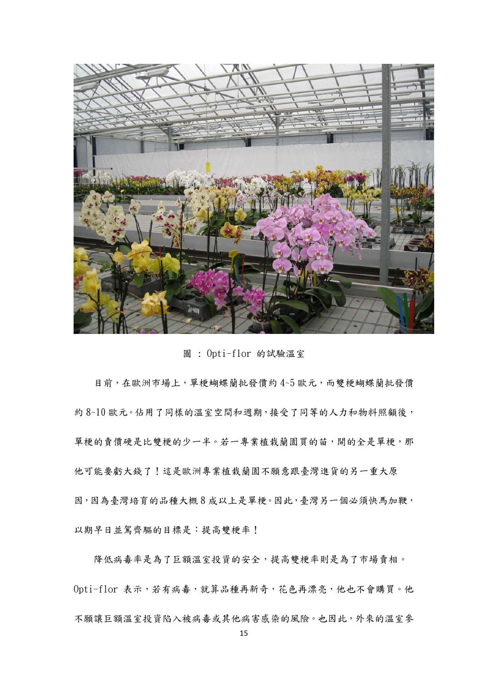

圖 : Opti-flor 的試驗溫室

目前,在歐洲市場上,單梗蝴蝶蘭批發價約 4~5 歐元,而雙梗蝴蝶蘭批發價 約 8~10 歐元。佔用了同樣的溫室空間和週期,接受了同等的人力和物料照顧後, 單梗的賣價硬是比雙梗的少一半。若一專業植栽蘭園買的苗,開的全是單梗,那 他可能要虧大錢了!這是歐洲專業植栽蘭園不願意跟臺灣進貨的另一重大原 因,因為臺灣培育的品種大概8成以上是單梗。因此,臺灣另一個必須快馬加鞭, 以期早日並駕齊驅的目標是:提高雙梗率!

降低病毒率是為了巨額溫室投資的安全,提高雙梗率則是為了市場賣相。 Opti-flor 表示,若有病毒,就算品種再新奇,花色再漂亮,他也不會購買。他 不願讓巨額溫室投資陷入被病毒或其他病害感染的風險。也因此,外來的溫室參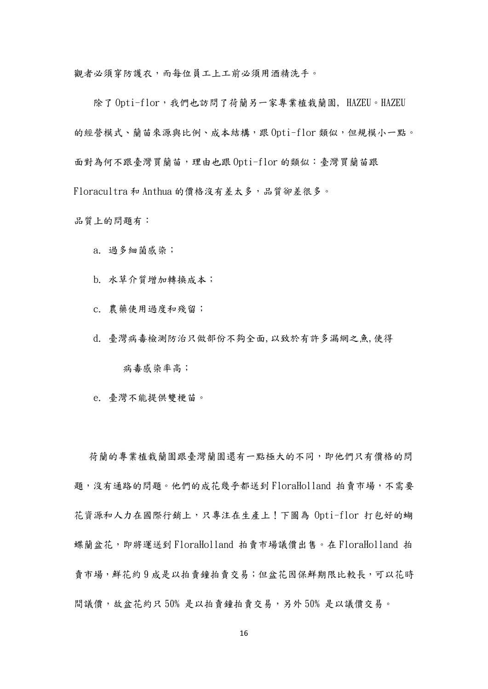觀者必須穿防護衣,而每位員工上工前必須用酒精洗手。

除了 Opti-flor,我們也訪問了荷蘭另一家專業植栽蘭園, HAZEU。HAZEU 的經營模式、蘭苗來源與比例、成本結構,跟 Opti-flor 類似,但規模小一點。 面對為何不跟臺灣買蘭苗,理由也跟 Opti-flor 的類似:臺灣買蘭苗跟

Floracultra 和 Anthua 的價格沒有差太多,品質卻差很多。

品質上的問題有:

a. 過多細菌感染;

b. 水草介質增加轉換成本;

c. 農藥使用過度和殘留;

d. 臺灣病毒檢測防治只做部份不夠全面,以致於有許多漏網之魚,使得

病毒感染率高;

e. 臺灣不能提供雙梗苗。

荷蘭的專業植栽蘭園跟臺灣蘭園還有一點極大的不同,即他們只有價格的問 題,沒有通路的問題。他們的成花幾乎都送到 FloraHolland 拍賣市場,不需要 花資源和人力在國際行銷上,只專注在生產上!下圖為 Opti-flor 打包好的蝴 蝶蘭盆花,即將運送到 FloraHolland 拍賣市場議價出售。在 FloraHolland 拍 賣市場,鮮花約9成是以拍賣鐘拍賣交易;但盆花因保鮮期限比較長,可以花時 間議價,故盆花約只 50% 是以拍賣鐘拍賣交易,另外 50% 是以議價交易。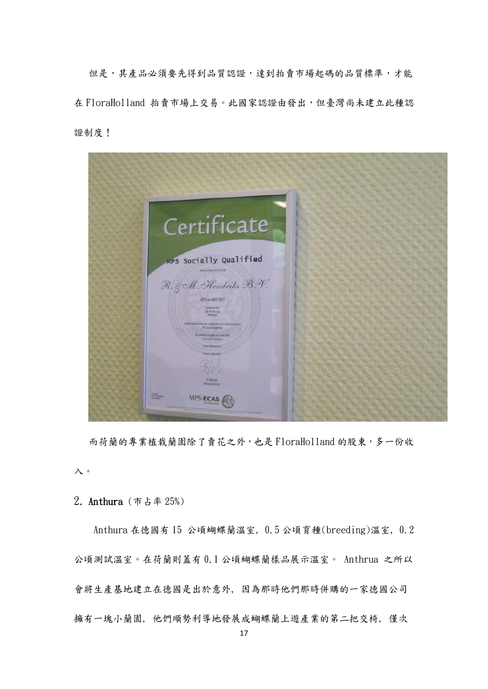但是,其產品必須要先得到品質認證,達到拍賣市場起碼的品質標準,才能 在 FloraHolland 拍賣市場上交易。此國家認證由發出,但臺灣尚未建立此種認 證制度!



而荷蘭的專業植栽蘭園除了賣花之外,也是 FloraHolland 的股東,多一份收 入。

2. Anthura (市占率 25%)

Anthura 在德國有 15 公頃蝴蝶蘭溫室, 0.5 公頃育種(breeding)溫室, 0.2 公頃測試溫室。在荷蘭則蓋有 0.1 公頃蝴蝶蘭樣品展示溫室。 Anthrua 之所以 會將生產基地建立在德國是出於意外, 因為那時他們那時併購的一家德國公司 擁有一塊小蘭園, 他們順勢利導地發展成蝴蝶蘭上遊產業的第二把交椅, 僅次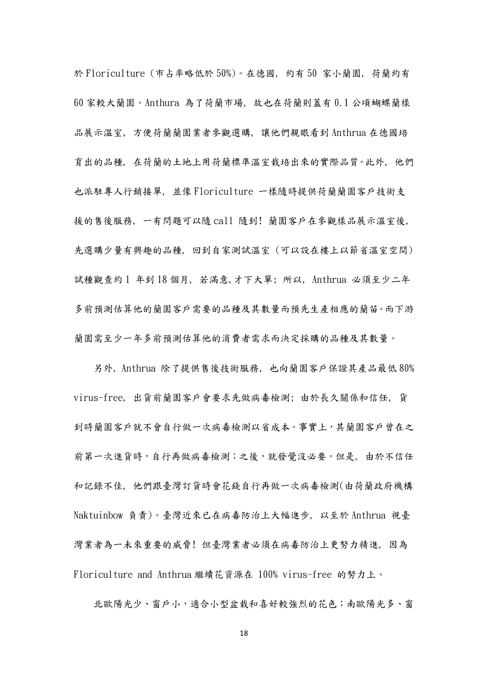於 Floriculture (市占率略低於 50%)。在德國, 約有 50 家小蘭園, 荷蘭約有 60 家較大蘭園。Anthura 為了荷蘭市場, 故也在荷蘭則蓋有 0.1 公頃蝴蝶蘭樣 品展示溫室, 方便荷蘭蘭園業者參觀選購, 讓他們親眼看到 Anthrua 在德國培 育出的品種, 在荷蘭的土地上用荷蘭標準溫室栽培出來的實際品質。此外, 他們 也派駐專人行銷接單, 並像 Floriculture 一樣隨時提供荷蘭蘭園客戶技術支 援的售後服務, 一有問題可以隨 call 隨到! 蘭園客戶在參觀樣品展示溫室後, 先選購少量有興趣的品種, 回到自家測試溫室 (可以設在樓上以節省溫室空間) 試種觀查約 1 年到 18 個月, 若滿意,才下大單; 所以, Anthrua 必須至少二年 多前預測估算他的蘭園客戶需要的品種及其數量而預先生產相應的蘭苗。而下游 蘭園需至少一年多前預測估算他的消費者需求而決定採購的品種及其數量。

另外, Anthrua 除了提供售後技術服務, 也向蘭園客戶保證其產品最低 80% virus-free, 出貨前蘭園客戶會要求先做病毒檢測; 由於長久關係和信任, 貨 到時蘭園客戶就不會自行做一次病毒檢測以省成本。事實上,其蘭園客戶曾在之 前第一次進貨時,自行再做病毒檢測;之後,就發覺沒必要。但是, 由於不信任 和記錄不佳, 他們跟臺灣訂貨時會花錢自行再做一次病毒檢測(由荷蘭政府機構 Naktuinbow 負責)。臺灣近來已在病毒防治上大幅進步, 以至於 Anthrua 視臺 灣業者為一未來重要的威脅! 但臺灣業者必須在病毒防治上更努力精進, 因為 Floriculture and Anthrua 繼續花資源在 100% virus-free 的努力上。

北歐陽光少、窗戶小,適合小型盆栽和喜好較強烈的花色;南歐陽光多、窗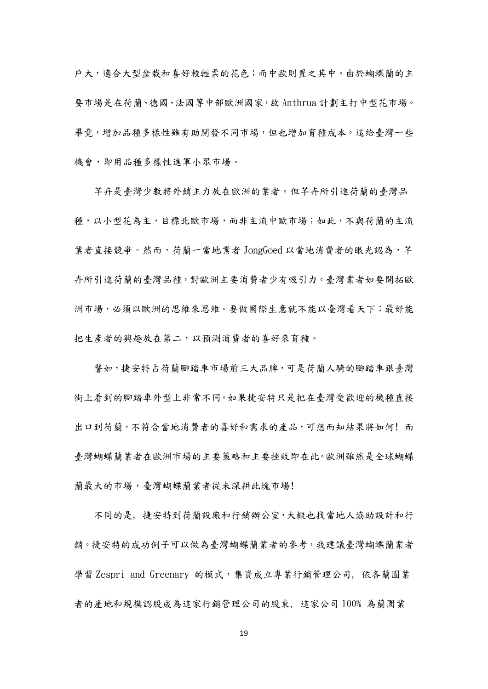戶大,適合大型盆栽和喜好較輕柔的花色;而中歐則置之其中。由於蝴蝶蘭的主 要市場是在荷蘭、德國、法國等中部歐洲國家,故 Anthrua 計劃主打中型花市場。 畢竟,增加品種多樣性雖有助開發不同市場,但也增加育種成本。這給臺灣一些 機會,即用品種多樣性進軍小眾市場。

芊卉是臺灣少數將外銷主力放在歐洲的業者。但芊卉所引進荷蘭的臺灣品 種,以小型花為主,目標北歐市場,而非主流中歐市場;如此,不與荷蘭的主流 業者直接競爭。然而,荷蘭一當地業者 JongGoed 以當地消費者的眼光認為,芊 卉所引進荷蘭的臺灣品種,對歐洲主要消費者少有吸引力。臺灣業者如要開拓歐 洲市場,必須以歐洲的思維來思維。要做國際生意就不能以臺灣看天下;最好能 把生產者的興趣放在第二,以預測消費者的喜好來育種。

譬如,捷安特占荷蘭腳踏車市場前三大品牌,可是荷蘭人騎的腳踏車跟臺灣 街上看到的腳踏車外型上非常不同。如果捷安特只是把在臺灣受歡迎的機種直接 出口到荷蘭,不符合當地消費者的喜好和需求的產品,可想而知結果將如何! 而 臺灣蝴蝶蘭業者在歐洲市場的主要策略和主要挫敗即在此。歐洲雖然是全球蝴蝶 蘭最大的市場,臺灣蝴蝶蘭業者從未深耕此塊市場!

不同的是, 捷安特到荷蘭設廠和行銷辦公室,大概也找當地人協助設計和行 銷。捷安特的成功例子可以做為臺灣蝴蝶蘭業者的參考,我建議臺灣蝴蝶蘭業者 學習 Zespri and Greenary 的模式,集資成立專業行銷管理公司, 依各蘭園業 者的產地和規模認股成為這家行銷管理公司的股東, 這家公司 100% 為蘭園業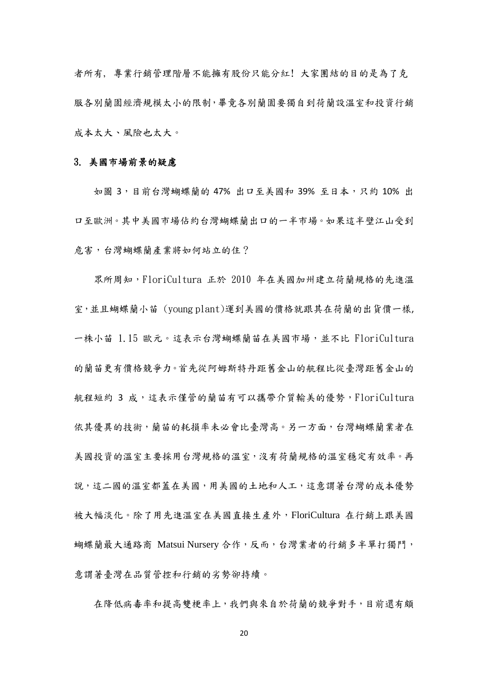者所有, 專業行銷管理階層不能擁有股份只能分紅! 大家團結的目的是為了克 服各別蘭園經濟規模太小的限制,畢竟各別蘭園要獨自到荷蘭設溫室和投資行銷 成本太大、風險也太大。

#### 3. 美國市場前景的疑慮

如圖 3,目前台灣蝴蝶蘭的 47% 出口至美國和 39% 至日本,只約 10% 出 口至歐洲。其中美國市場佔約台灣蝴蝶蘭出口的一半市場。如果這半壁江山受到 危害,台灣蝴蝶蘭產業將如何站立的住?

眾所周知,FloriCultura 正於 2010 年在美國加州建立荷蘭規格的先進溫 室,並且蝴蝶蘭小苗 (young plant)運到美國的價格就跟其在荷蘭的出貨價一樣, 一株小苗 1.15 歐元。這表示台灣蝴蝶蘭苗在美國市場,並不比 FloriCultura 的蘭苗更有價格競爭力。首先從阿姆斯特丹距舊金山的航程比從臺灣距舊金山的 航程短約 3 成,這表示僅管的蘭苗有可以攜帶介質輸美的優勢,FloriCultura 依其優異的技術,蘭苗的耗損率未必會比臺灣高。另一方面,台灣蝴蝶蘭業者在 美國投資的溫室主要採用台灣規格的溫室,沒有荷蘭規格的溫室穩定有效率。再 說,這二國的溫室都蓋在美國,用美國的土地和人工,這意謂著台灣的成本優勢 被大幅淡化。除了用先進溫室在美國直接生產外,FloriCultura 在行銷上跟美國 蝴蝶蘭最大通路商 Matsui Nursery 合作,反而,台灣業者的行銷多半單打獨鬥, 意謂著臺灣在品質管控和行銷的劣勢卻持續。

在降低病毒率和提高雙梗率上,我們與來自於荷蘭的競爭對手,目前還有頗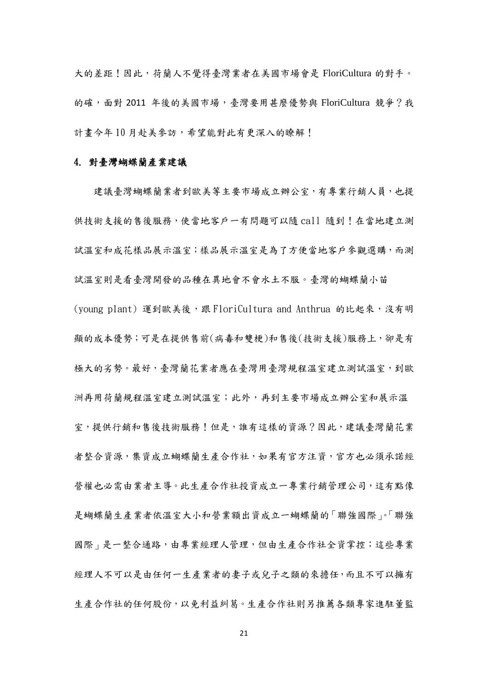大的差距!因此,荷蘭人不覺得臺灣業者在美國市場會是 FloriCultura 的對手。 的確,面對 2011 年後的美國市場,臺灣要用甚麼優勢與 FloriCultura 競爭?我 計書今年10月赴美參訪,希望能對此有更深入的瞭解!

#### 4. 對臺灣蝴蝶蘭產業建議

建議臺灣蝴蝶蘭業者到歐美等主要市場成立辦公室,有專業行銷人員,也提 供技術支援的售後服務,使當地客戶一有問題可以隨 call 隨到!在當地建立測 試溫室和成花樣品展示溫室;樣品展示溫室是為了方便當地客戶參觀選購,而測 試溫室則是看臺灣開發的品種在異地會不會水土不服。臺灣的蝴蝶蘭小苗 (young plant) 運到歐美後,跟 FloriCultura and Anthrua 的比起來,沒有明 顯的成本優勢;可是在提供售前(病毒和雙梗)和售後(技術支援)服務上,卻是有 極大的劣勢。最好,臺灣蘭花業者應在臺灣用臺灣規程溫室建立測試溫室,到歐 洲再用荷蘭規程溫室建立測試溫室;此外,再到主要市場成立辦公室和展示溫 室,提供行銷和售後技術服務!但是,誰有這樣的資源?因此,建議臺灣蘭花業 者整合資源,集資成立蝴蝶蘭生產合作社,如果有官方注資,官方也必須承諾經 營權也必需由業者主導。此生產合作社投資成立一專業行銷管理公司,這有點像 是蝴蝶蘭生產業者依溫室大小和營業額出資成立一蝴蝶蘭的「聯強國際」。「聯強 國際 | 是一整合通路,由專業經理人管理,但由生產合作社全資掌控;這些專業 經理人不可以是由任何一生產業者的妻子或兒子之類的來擔任,而且不可以擁有 生產合作社的任何股份,以免利益糾葛。生產合作社則另推薦各類專家進駐董監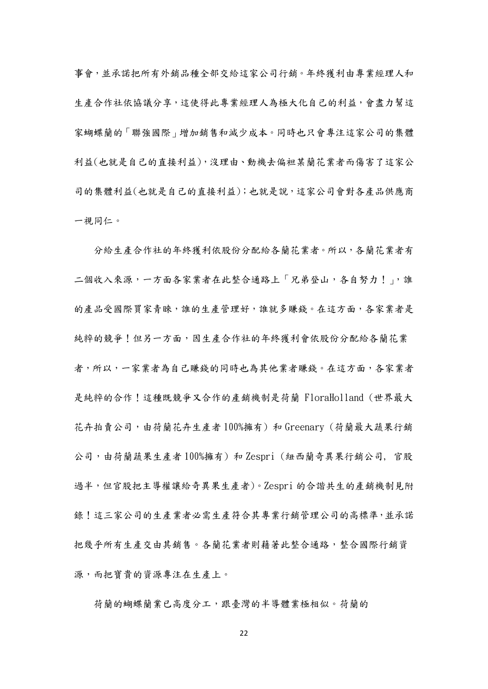事會,並承諾把所有外銷品種全部交給這家公司行銷。年終獲利由專業經理人和 生產合作社依協議分享,這使得此專業經理人為極大化自己的利益,會盡力幫這 家蝴蝶蘭的「聯強國際」增加銷售和減少成本。同時也只會專注這家公司的集體 利益(也就是自己的直接利益),沒理由、動機去偏袒某蘭花業者而傷害了這家公 司的集體利益(也就是自己的直接利益);也就是說,這家公司會對各產品供應商 一視同仁。

 分給生產合作社的年終獲利依股份分配給各蘭花業者。所以,各蘭花業者有 二個收入來源,一方面各家業者在此整合通路上「兄弟登山,各自努力!」,誰 的產品受國際買家青睞,誰的生產管理好,誰就多賺錢。在這方面,各家業者是 純粹的競爭!但另一方面,因生產合作社的年終獲利會依股份分配給各蘭花業 者,所以,一家業者為自己賺錢的同時也為其他業者賺錢。在這方面,各家業者 是純粹的合作!這種既競爭又合作的產銷機制是荷蘭 FloraHolland (世界最大 花卉拍賣公司,由荷蘭花卉生產者 100%擁有) 和 Greenary (荷蘭最大蔬果行銷 公司,由荷蘭蔬果生產者 100%擁有) 和 Zespri (紐西蘭奇異果行銷公司, 官股 過半,但官股把主導權讓給奇異果生產者)。Zespri 的合諧共生的產銷機制見附 錄!這三家公司的生產業者必需生產符合其專業行銷管理公司的高標準,並承諾 把幾乎所有生產交由其銷售。各蘭花業者則藉著此整合通路,整合國際行銷資 源,而把寶貴的資源專注在生產上。

荷蘭的蝴蝶蘭業已高度分工,跟臺灣的半導體業極相似。荷蘭的

22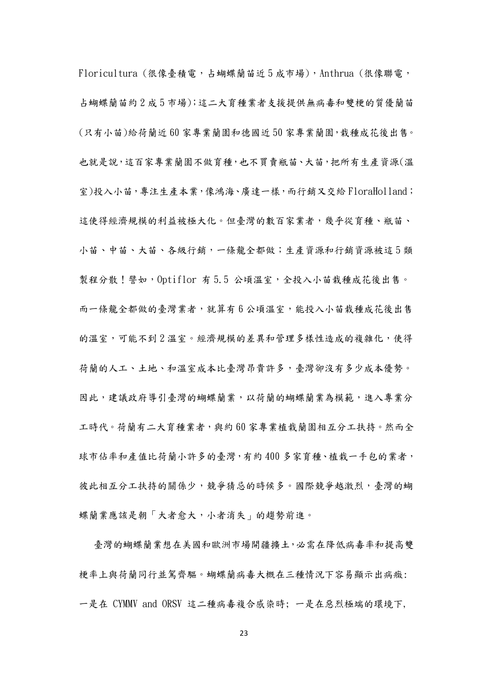Floricultura (很像臺積電,占蝴蝶蘭苗近 5 成市場),Anthrua (很像聯電, 占蝴蝶蘭苗約 2 成 5 市場);這二大育種業者支援提供無病毒和雙梗的質優蘭苗 (只有小苗)給荷蘭近 60 家專業蘭園和德國近 50 家專業蘭園,栽種成花後出售。 也就是說,這百家專業蘭園不做育種,也不買賣瓶苗、大苗,把所有生產資源(溫 室)投入小苗,專注生產本業,像鴻海、廣達一樣,而行銷又交給 FloraHolland; 這使得經濟規模的利益被極大化。但臺灣的數百家業者,幾乎從育種、瓶苗、 小苗、中苗、大苗、各級行銷,一條龍全都做;生產資源和行銷資源被這 5 類 製程分散!譬如,Optiflor 有 5.5 公頃溫室,全投入小苗栽種成花後出售。 而一條龍全都做的臺灣業者,就算有6公頃溫室,能投入小苗栽種成花後出售 的溫室,可能不到 2 溫室。經濟規模的差異和管理多樣性造成的複雜化,使得 荷蘭的人工、土地、和溫室成本比臺灣昂貴許多,臺灣卻沒有多少成本優勢。 因此,建議政府導引臺灣的蝴蝶蘭業,以荷蘭的蝴蝶蘭業為模範,進入專業分 工時代。荷蘭有二大育種業者,與約 60 家專業植栽蘭園相互分工扶持。然而全 球市佔率和產值比荷蘭小許多的臺灣,有約 400 多家育種、植栽一手包的業者, 彼此相互分工扶持的關係少,競爭猜忌的時候多。國際競爭越激烈,臺灣的蝴 蝶蘭業應該是朝「大者愈大,小者消失」的趨勢前進。

臺灣的蝴蝶蘭業想在美國和歐洲市場開疆擴土,必需在降低病毒率和提高雙 梗率上與荷蘭同行並駕齊驅。蝴蝶蘭病毒大概在三種情況下容易顯示出病癥: 一是在 CYMMV and ORSV 這二種病毒複合感染時; 一是在惡烈極端的環境下,